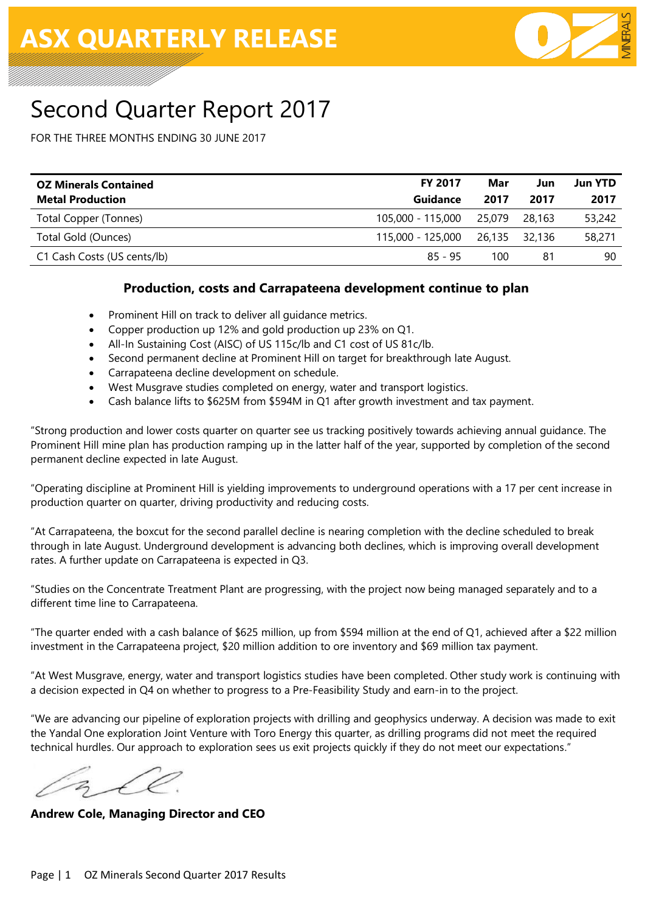

# Second Quarter Report 2017

FOR THE THREE MONTHS ENDING 30 JUNE 2017

| <b>OZ Minerals Contained</b> | <b>FY 2017</b>    | Mar           | Jun    | <b>Jun YTD</b> |
|------------------------------|-------------------|---------------|--------|----------------|
| <b>Metal Production</b>      | Guidance          | 2017          | 2017   | 2017           |
| Total Copper (Tonnes)        | 105,000 - 115,000 | 25.079        | 28,163 | 53,242         |
| Total Gold (Ounces)          | 115,000 - 125,000 | 26.135 32.136 |        | 58,271         |
| C1 Cash Costs (US cents/lb)  | 85 - 95           | 100           | 81     | 90             |
|                              |                   |               |        |                |

#### **Production, costs and Carrapateena development continue to plan**

- Prominent Hill on track to deliver all guidance metrics.
- Copper production up 12% and gold production up 23% on Q1.
- All-In Sustaining Cost (AISC) of US 115c/lb and C1 cost of US 81c/lb.
- Second permanent decline at Prominent Hill on target for breakthrough late August.
- Carrapateena decline development on schedule.
- West Musgrave studies completed on energy, water and transport logistics.
- Cash balance lifts to \$625M from \$594M in Q1 after growth investment and tax payment.

"Strong production and lower costs quarter on quarter see us tracking positively towards achieving annual guidance. The Prominent Hill mine plan has production ramping up in the latter half of the year, supported by completion of the second permanent decline expected in late August.

"Operating discipline at Prominent Hill is yielding improvements to underground operations with a 17 per cent increase in production quarter on quarter, driving productivity and reducing costs.

"At Carrapateena, the boxcut for the second parallel decline is nearing completion with the decline scheduled to break through in late August. Underground development is advancing both declines, which is improving overall development rates. A further update on Carrapateena is expected in Q3.

"Studies on the Concentrate Treatment Plant are progressing, with the project now being managed separately and to a different time line to Carrapateena.

"The quarter ended with a cash balance of \$625 million, up from \$594 million at the end of Q1, achieved after a \$22 million investment in the Carrapateena project, \$20 million addition to ore inventory and \$69 million tax payment.

"At West Musgrave, energy, water and transport logistics studies have been completed. Other study work is continuing with a decision expected in Q4 on whether to progress to a Pre-Feasibility Study and earn-in to the project.

"We are advancing our pipeline of exploration projects with drilling and geophysics underway. A decision was made to exit the Yandal One exploration Joint Venture with Toro Energy this quarter, as drilling programs did not meet the required technical hurdles. Our approach to exploration sees us exit projects quickly if they do not meet our expectations."

**Andrew Cole, Managing Director and CEO**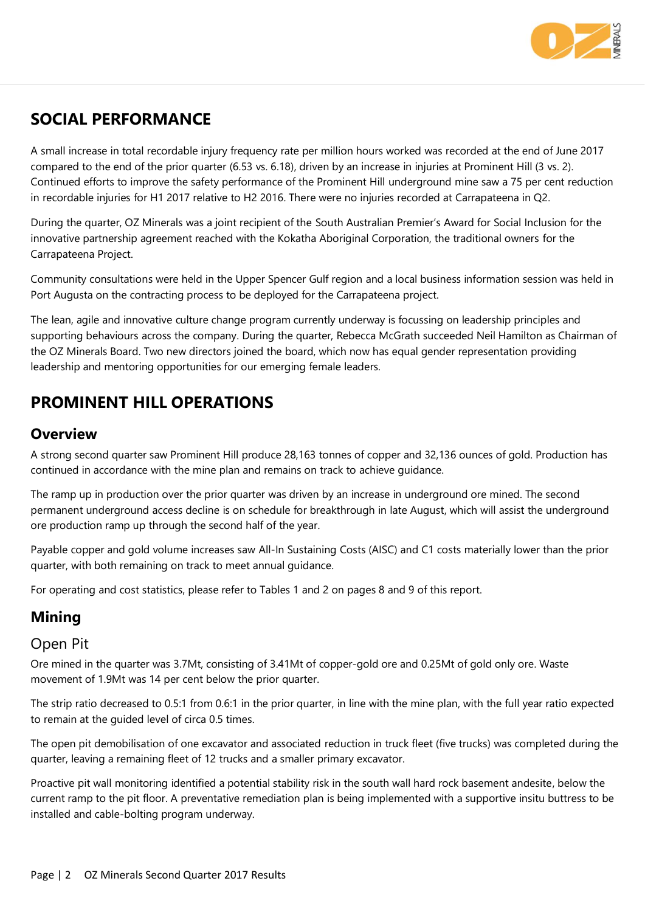

# **SOCIAL PERFORMANCE**

A small increase in total recordable injury frequency rate per million hours worked was recorded at the end of June 2017 compared to the end of the prior quarter (6.53 vs. 6.18), driven by an increase in injuries at Prominent Hill (3 vs. 2). Continued efforts to improve the safety performance of the Prominent Hill underground mine saw a 75 per cent reduction in recordable injuries for H1 2017 relative to H2 2016. There were no injuries recorded at Carrapateena in Q2.

During the quarter, OZ Minerals was a joint recipient of the South Australian Premier's Award for Social Inclusion for the innovative partnership agreement reached with the Kokatha Aboriginal Corporation, the traditional owners for the Carrapateena Project.

Community consultations were held in the Upper Spencer Gulf region and a local business information session was held in Port Augusta on the contracting process to be deployed for the Carrapateena project.

The lean, agile and innovative culture change program currently underway is focussing on leadership principles and supporting behaviours across the company. During the quarter, Rebecca McGrath succeeded Neil Hamilton as Chairman of the OZ Minerals Board. Two new directors joined the board, which now has equal gender representation providing leadership and mentoring opportunities for our emerging female leaders.

# **PROMINENT HILL OPERATIONS**

### **Overview**

A strong second quarter saw Prominent Hill produce 28,163 tonnes of copper and 32,136 ounces of gold. Production has continued in accordance with the mine plan and remains on track to achieve guidance.

The ramp up in production over the prior quarter was driven by an increase in underground ore mined. The second permanent underground access decline is on schedule for breakthrough in late August, which will assist the underground ore production ramp up through the second half of the year.

Payable copper and gold volume increases saw All-In Sustaining Costs (AISC) and C1 costs materially lower than the prior quarter, with both remaining on track to meet annual guidance.

For operating and cost statistics, please refer to Tables 1 and 2 on pages 8 and 9 of this report.

# **Mining**

### Open Pit

Ore mined in the quarter was 3.7Mt, consisting of 3.41Mt of copper-gold ore and 0.25Mt of gold only ore. Waste movement of 1.9Mt was 14 per cent below the prior quarter.

The strip ratio decreased to 0.5:1 from 0.6:1 in the prior quarter, in line with the mine plan, with the full year ratio expected to remain at the guided level of circa 0.5 times.

The open pit demobilisation of one excavator and associated reduction in truck fleet (five trucks) was completed during the quarter, leaving a remaining fleet of 12 trucks and a smaller primary excavator.

Proactive pit wall monitoring identified a potential stability risk in the south wall hard rock basement andesite, below the current ramp to the pit floor. A preventative remediation plan is being implemented with a supportive insitu buttress to be installed and cable-bolting program underway.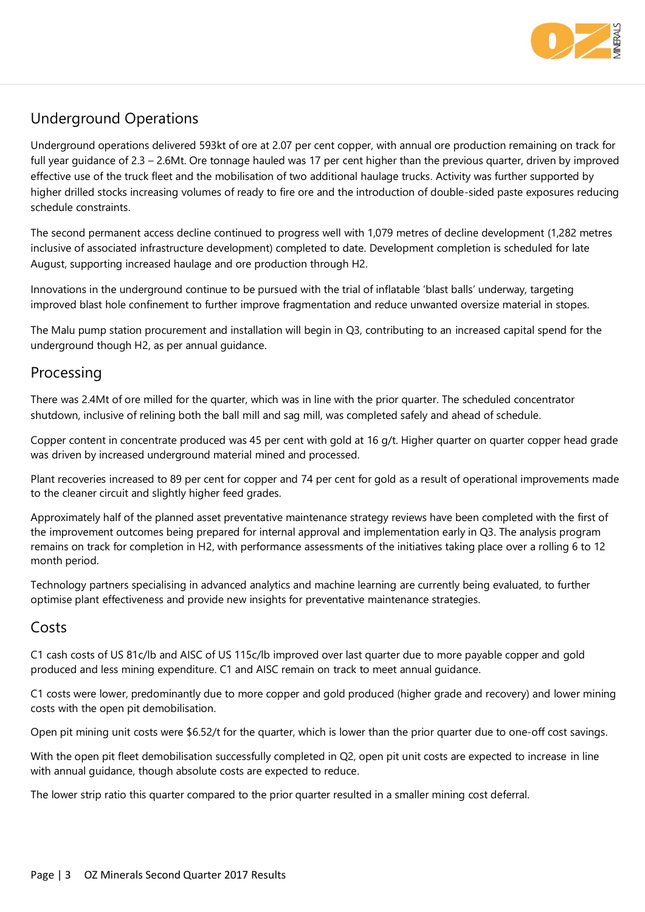

# Underground Operations

Underground operations delivered 593kt of ore at 2.07 per cent copper, with annual ore production remaining on track for full year guidance of 2.3 – 2.6Mt. Ore tonnage hauled was 17 per cent higher than the previous quarter, driven by improved effective use of the truck fleet and the mobilisation of two additional haulage trucks. Activity was further supported by higher drilled stocks increasing volumes of ready to fire ore and the introduction of double-sided paste exposures reducing schedule constraints.

The second permanent access decline continued to progress well with 1,079 metres of decline development (1,282 metres inclusive of associated infrastructure development) completed to date. Development completion is scheduled for late August, supporting increased haulage and ore production through H2.

Innovations in the underground continue to be pursued with the trial of inflatable 'blast balls' underway, targeting improved blast hole confinement to further improve fragmentation and reduce unwanted oversize material in stopes.

The Malu pump station procurement and installation will begin in Q3, contributing to an increased capital spend for the underground though H2, as per annual guidance.

### Processing

There was 2.4Mt of ore milled for the quarter, which was in line with the prior quarter. The scheduled concentrator shutdown, inclusive of relining both the ball mill and sag mill, was completed safely and ahead of schedule.

Copper content in concentrate produced was 45 per cent with gold at 16 g/t. Higher quarter on quarter copper head grade was driven by increased underground material mined and processed.

Plant recoveries increased to 89 per cent for copper and 74 per cent for gold as a result of operational improvements made to the cleaner circuit and slightly higher feed grades.

Approximately half of the planned asset preventative maintenance strategy reviews have been completed with the first of the improvement outcomes being prepared for internal approval and implementation early in Q3. The analysis program remains on track for completion in H2, with performance assessments of the initiatives taking place over a rolling 6 to 12 month period.

Technology partners specialising in advanced analytics and machine learning are currently being evaluated, to further optimise plant effectiveness and provide new insights for preventative maintenance strategies.

### Costs

C1 cash costs of US 81c/lb and AISC of US 115c/lb improved over last quarter due to more payable copper and gold produced and less mining expenditure. C1 and AISC remain on track to meet annual guidance.

C1 costs were lower, predominantly due to more copper and gold produced (higher grade and recovery) and lower mining costs with the open pit demobilisation.

Open pit mining unit costs were \$6.52/t for the quarter, which is lower than the prior quarter due to one-off cost savings.

With the open pit fleet demobilisation successfully completed in Q2, open pit unit costs are expected to increase in line with annual guidance, though absolute costs are expected to reduce.

The lower strip ratio this quarter compared to the prior quarter resulted in a smaller mining cost deferral.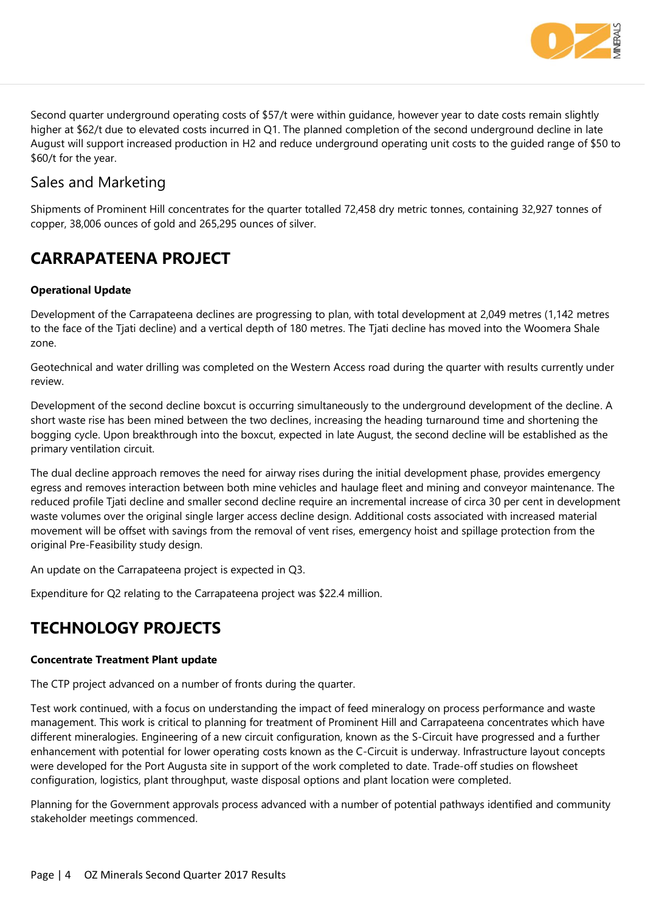

Second quarter underground operating costs of \$57/t were within guidance, however year to date costs remain slightly higher at \$62/t due to elevated costs incurred in Q1. The planned completion of the second underground decline in late August will support increased production in H2 and reduce underground operating unit costs to the guided range of \$50 to \$60/t for the year.

### Sales and Marketing

Shipments of Prominent Hill concentrates for the quarter totalled 72,458 dry metric tonnes, containing 32,927 tonnes of copper, 38,006 ounces of gold and 265,295 ounces of silver.

# **CARRAPATEENA PROJECT**

#### **Operational Update**

Development of the Carrapateena declines are progressing to plan, with total development at 2,049 metres (1,142 metres to the face of the Tjati decline) and a vertical depth of 180 metres. The Tjati decline has moved into the Woomera Shale zone.

Geotechnical and water drilling was completed on the Western Access road during the quarter with results currently under review.

Development of the second decline boxcut is occurring simultaneously to the underground development of the decline. A short waste rise has been mined between the two declines, increasing the heading turnaround time and shortening the bogging cycle. Upon breakthrough into the boxcut, expected in late August, the second decline will be established as the primary ventilation circuit.

The dual decline approach removes the need for airway rises during the initial development phase, provides emergency egress and removes interaction between both mine vehicles and haulage fleet and mining and conveyor maintenance. The reduced profile Tjati decline and smaller second decline require an incremental increase of circa 30 per cent in development waste volumes over the original single larger access decline design. Additional costs associated with increased material movement will be offset with savings from the removal of vent rises, emergency hoist and spillage protection from the original Pre-Feasibility study design.

An update on the Carrapateena project is expected in Q3.

Expenditure for Q2 relating to the Carrapateena project was \$22.4 million.

# **TECHNOLOGY PROJECTS**

#### **Concentrate Treatment Plant update**

The CTP project advanced on a number of fronts during the quarter.

Test work continued, with a focus on understanding the impact of feed mineralogy on process performance and waste management. This work is critical to planning for treatment of Prominent Hill and Carrapateena concentrates which have different mineralogies. Engineering of a new circuit configuration, known as the S-Circuit have progressed and a further enhancement with potential for lower operating costs known as the C-Circuit is underway. Infrastructure layout concepts were developed for the Port Augusta site in support of the work completed to date. Trade-off studies on flowsheet configuration, logistics, plant throughput, waste disposal options and plant location were completed.

Planning for the Government approvals process advanced with a number of potential pathways identified and community stakeholder meetings commenced.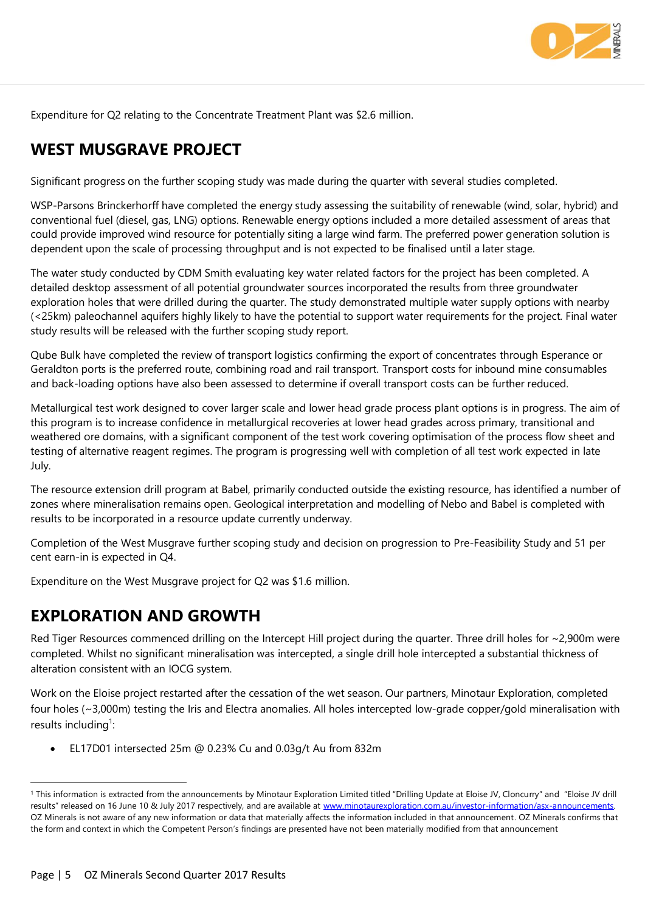

Expenditure for Q2 relating to the Concentrate Treatment Plant was \$2.6 million.

# **WEST MUSGRAVE PROJECT**

Significant progress on the further scoping study was made during the quarter with several studies completed.

WSP-Parsons Brinckerhorff have completed the energy study assessing the suitability of renewable (wind, solar, hybrid) and conventional fuel (diesel, gas, LNG) options. Renewable energy options included a more detailed assessment of areas that could provide improved wind resource for potentially siting a large wind farm. The preferred power generation solution is dependent upon the scale of processing throughput and is not expected to be finalised until a later stage.

The water study conducted by CDM Smith evaluating key water related factors for the project has been completed. A detailed desktop assessment of all potential groundwater sources incorporated the results from three groundwater exploration holes that were drilled during the quarter. The study demonstrated multiple water supply options with nearby (<25km) paleochannel aquifers highly likely to have the potential to support water requirements for the project. Final water study results will be released with the further scoping study report.

Qube Bulk have completed the review of transport logistics confirming the export of concentrates through Esperance or Geraldton ports is the preferred route, combining road and rail transport. Transport costs for inbound mine consumables and back-loading options have also been assessed to determine if overall transport costs can be further reduced.

Metallurgical test work designed to cover larger scale and lower head grade process plant options is in progress. The aim of this program is to increase confidence in metallurgical recoveries at lower head grades across primary, transitional and weathered ore domains, with a significant component of the test work covering optimisation of the process flow sheet and testing of alternative reagent regimes. The program is progressing well with completion of all test work expected in late July.

The resource extension drill program at Babel, primarily conducted outside the existing resource, has identified a number of zones where mineralisation remains open. Geological interpretation and modelling of Nebo and Babel is completed with results to be incorporated in a resource update currently underway.

Completion of the West Musgrave further scoping study and decision on progression to Pre-Feasibility Study and 51 per cent earn-in is expected in Q4.

Expenditure on the West Musgrave project for Q2 was \$1.6 million.

# **EXPLORATION AND GROWTH**

Red Tiger Resources commenced drilling on the Intercept Hill project during the quarter. Three drill holes for ~2,900m were completed. Whilst no significant mineralisation was intercepted, a single drill hole intercepted a substantial thickness of alteration consistent with an IOCG system.

Work on the Eloise project restarted after the cessation of the wet season. Our partners, Minotaur Exploration, completed four holes (~3,000m) testing the Iris and Electra anomalies. All holes intercepted low-grade copper/gold mineralisation with results including<sup>1</sup>:

EL17D01 intersected 25m @ 0.23% Cu and 0.03g/t Au from 832m

 $\overline{a}$ 

<sup>&</sup>lt;sup>1</sup> This information is extracted from the announcements by Minotaur Exploration Limited titled "Drilling Update at Eloise JV, Cloncurry" and "Eloise JV drill results" released on 16 June 10 & July 2017 respectively, and are available at www.minotaurexploration.com.au/investor-information/asx-announcements. OZ Minerals is not aware of any new information or data that materially affects the information included in that announcement. OZ Minerals confirms that the form and context in which the Competent Person's findings are presented have not been materially modified from that announcement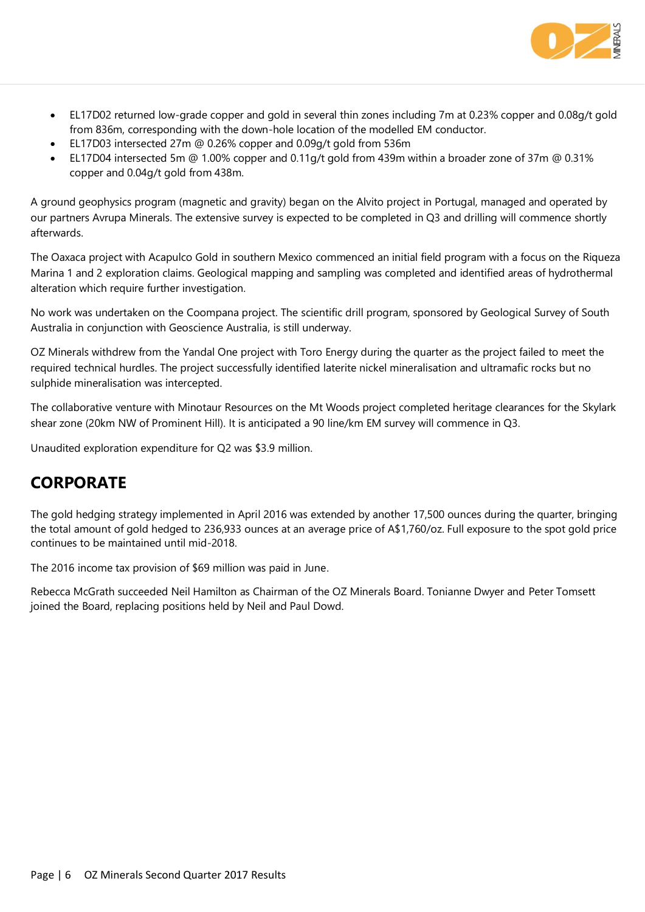

- EL17D02 returned low-grade copper and gold in several thin zones including 7m at 0.23% copper and 0.08g/t gold from 836m, corresponding with the down-hole location of the modelled EM conductor.
- EL17D03 intersected 27m @ 0.26% copper and 0.09g/t gold from 536m
- EL17D04 intersected 5m @ 1.00% copper and 0.11g/t gold from 439m within a broader zone of 37m @ 0.31% copper and 0.04g/t gold from 438m.

A ground geophysics program (magnetic and gravity) began on the Alvito project in Portugal, managed and operated by our partners Avrupa Minerals. The extensive survey is expected to be completed in Q3 and drilling will commence shortly afterwards.

The Oaxaca project with Acapulco Gold in southern Mexico commenced an initial field program with a focus on the Riqueza Marina 1 and 2 exploration claims. Geological mapping and sampling was completed and identified areas of hydrothermal alteration which require further investigation.

No work was undertaken on the Coompana project. The scientific drill program, sponsored by Geological Survey of South Australia in conjunction with Geoscience Australia, is still underway.

OZ Minerals withdrew from the Yandal One project with Toro Energy during the quarter as the project failed to meet the required technical hurdles. The project successfully identified laterite nickel mineralisation and ultramafic rocks but no sulphide mineralisation was intercepted.

The collaborative venture with Minotaur Resources on the Mt Woods project completed heritage clearances for the Skylark shear zone (20km NW of Prominent Hill). It is anticipated a 90 line/km EM survey will commence in Q3.

Unaudited exploration expenditure for Q2 was \$3.9 million.

# **CORPORATE**

The gold hedging strategy implemented in April 2016 was extended by another 17,500 ounces during the quarter, bringing the total amount of gold hedged to 236,933 ounces at an average price of A\$1,760/oz. Full exposure to the spot gold price continues to be maintained until mid-2018.

The 2016 income tax provision of \$69 million was paid in June.

Rebecca McGrath succeeded Neil Hamilton as Chairman of the OZ Minerals Board. Tonianne Dwyer and Peter Tomsett joined the Board, replacing positions held by Neil and Paul Dowd.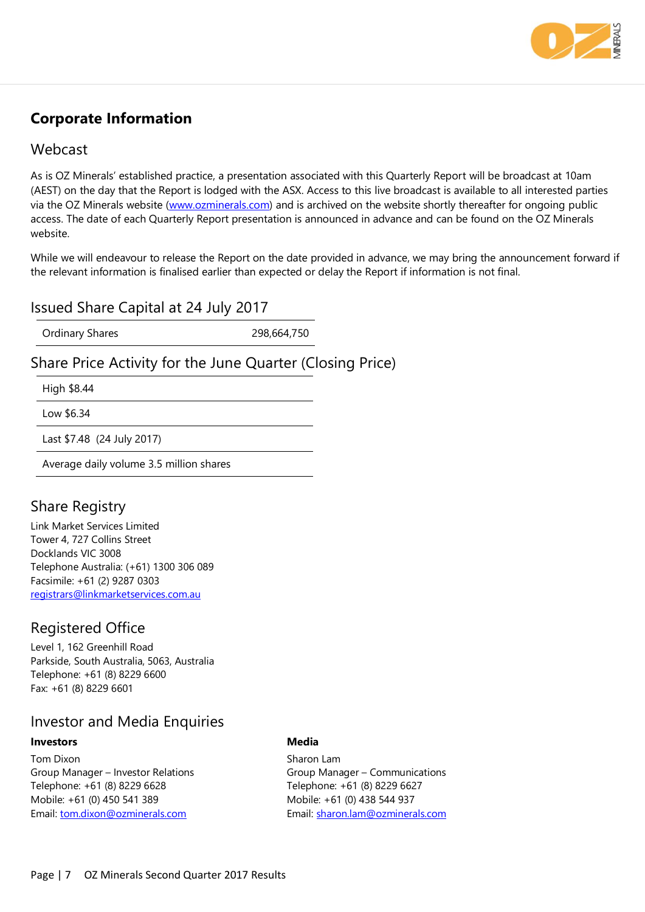

# **Corporate Information**

#### Webcast

As is OZ Minerals' established practice, a presentation associated with this Quarterly Report will be broadcast at 10am (AEST) on the day that the Report is lodged with the ASX. Access to this live broadcast is available to all interested parties via the OZ Minerals website [\(www.ozminerals.com\)](http://www.ozminerals.com/) and is archived on the website shortly thereafter for ongoing public access. The date of each Quarterly Report presentation is announced in advance and can be found on the OZ Minerals website.

While we will endeavour to release the Report on the date provided in advance, we may bring the announcement forward if the relevant information is finalised earlier than expected or delay the Report if information is not final.

#### Issued Share Capital at 24 July 2017

Ordinary Shares 298,664,750

### Share Price Activity for the June Quarter (Closing Price)

High \$8.44

Low \$6.34

Last \$7.48 (24 July 2017)

Average daily volume 3.5 million shares

# Share Registry

Link Market Services Limited Tower 4, 727 Collins Street Docklands VIC 3008 Telephone Australia: (+61) 1300 306 089 Facsimile: +61 (2) 9287 0303 [registrars@linkmarketservices.com.au](mailto:registrars@linkmarketservices.com.au)

### Registered Office

Level 1, 162 Greenhill Road Parkside, South Australia, 5063, Australia Telephone: +61 (8) 8229 6600 Fax: +61 (8) 8229 6601

### Investor and Media Enquiries

#### **Investors**

Tom Dixon Group Manager – Investor Relations Telephone: +61 (8) 8229 6628 Mobile: +61 (0) 450 541 389 Email: [tom.dixon@ozminerals.com](mailto:tom.dixon@ozminerals.com)

#### **Media**

Sharon Lam Group Manager – Communications Telephone: +61 (8) 8229 6627 Mobile: +61 (0) 438 544 937 Email: [sharon.lam@ozminerals.com](mailto:sharon.lam@ozminerals.com)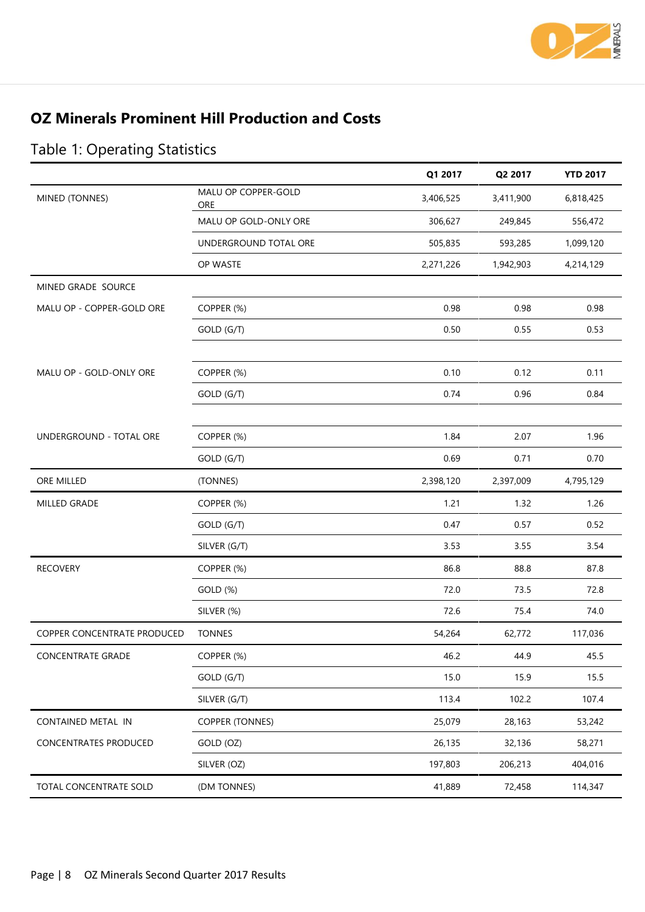

# **OZ Minerals Prominent Hill Production and Costs**

|                             |                            | Q1 2017   | Q2 2017   | <b>YTD 2017</b> |
|-----------------------------|----------------------------|-----------|-----------|-----------------|
| MINED (TONNES)              | MALU OP COPPER-GOLD<br>ORE | 3,406,525 | 3,411,900 | 6,818,425       |
|                             | MALU OP GOLD-ONLY ORE      | 306,627   | 249,845   | 556,472         |
|                             | UNDERGROUND TOTAL ORE      | 505,835   | 593,285   | 1,099,120       |
|                             | OP WASTE                   | 2,271,226 | 1,942,903 | 4,214,129       |
| MINED GRADE SOURCE          |                            |           |           |                 |
| MALU OP - COPPER-GOLD ORE   | COPPER (%)                 | 0.98      | 0.98      | 0.98            |
|                             | GOLD (G/T)                 | 0.50      | 0.55      | 0.53            |
|                             |                            |           |           |                 |
| MALU OP - GOLD-ONLY ORE     | COPPER (%)                 | 0.10      | 0.12      | 0.11            |
|                             | GOLD (G/T)                 | 0.74      | 0.96      | 0.84            |
|                             |                            |           |           |                 |
| UNDERGROUND - TOTAL ORE     | COPPER (%)                 | 1.84      | 2.07      | 1.96            |
|                             | GOLD (G/T)                 | 0.69      | 0.71      | 0.70            |
| ORE MILLED                  | (TONNES)                   | 2,398,120 | 2,397,009 | 4,795,129       |
| MILLED GRADE                | COPPER (%)                 | 1.21      | 1.32      | 1.26            |
|                             | GOLD (G/T)                 | 0.47      | 0.57      | 0.52            |
|                             | SILVER (G/T)               | 3.53      | 3.55      | 3.54            |
| <b>RECOVERY</b>             | COPPER (%)                 | 86.8      | 88.8      | 87.8            |
|                             | GOLD (%)                   | 72.0      | 73.5      | 72.8            |
|                             | SILVER (%)                 | 72.6      | 75.4      | 74.0            |
| COPPER CONCENTRATE PRODUCED | <b>TONNES</b>              | 54,264    | 62,772    | 117,036         |
| <b>CONCENTRATE GRADE</b>    | COPPER (%)                 | 46.2      | 44.9      | 45.5            |
|                             | GOLD (G/T)                 | 15.0      | 15.9      | 15.5            |
|                             | SILVER (G/T)               | 113.4     | 102.2     | 107.4           |
| CONTAINED METAL IN          | <b>COPPER (TONNES)</b>     | 25,079    | 28,163    | 53,242          |
| CONCENTRATES PRODUCED       | GOLD (OZ)                  | 26,135    | 32,136    | 58,271          |
|                             | SILVER (OZ)                | 197,803   | 206,213   | 404,016         |
| TOTAL CONCENTRATE SOLD      | (DM TONNES)                | 41,889    | 72,458    | 114,347         |

# Table 1: Operating Statistics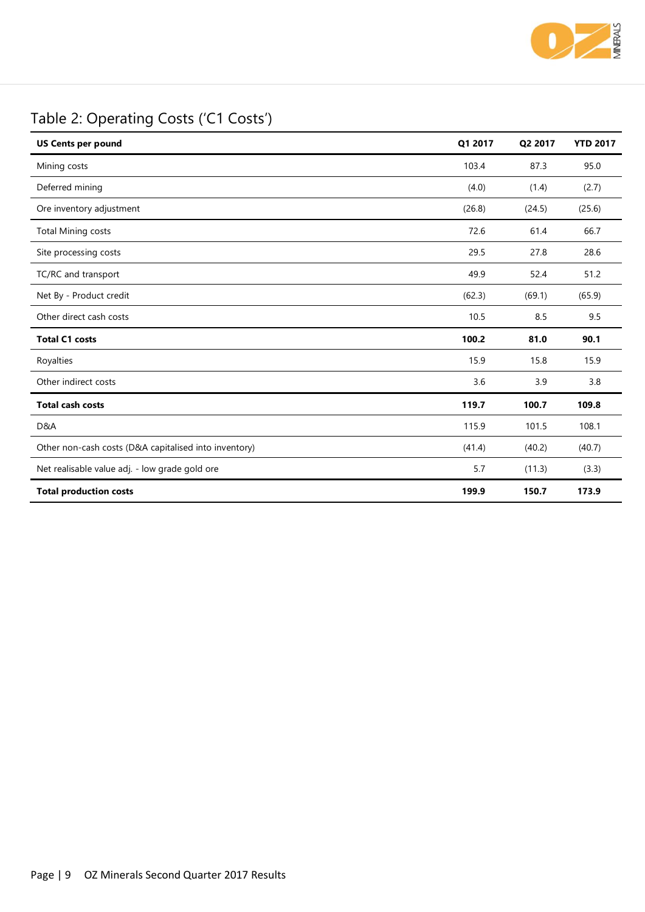

# Table 2: Operating Costs ('C1 Costs')

| <b>US Cents per pound</b>                             | Q1 2017 | Q2 2017 | <b>YTD 2017</b> |
|-------------------------------------------------------|---------|---------|-----------------|
| Mining costs                                          | 103.4   | 87.3    | 95.0            |
| Deferred mining                                       | (4.0)   | (1.4)   | (2.7)           |
| Ore inventory adjustment                              | (26.8)  | (24.5)  | (25.6)          |
| <b>Total Mining costs</b>                             | 72.6    | 61.4    | 66.7            |
| Site processing costs                                 | 29.5    | 27.8    | 28.6            |
| TC/RC and transport                                   | 49.9    | 52.4    | 51.2            |
| Net By - Product credit                               | (62.3)  | (69.1)  | (65.9)          |
| Other direct cash costs                               | 10.5    | 8.5     | 9.5             |
| <b>Total C1 costs</b>                                 | 100.2   | 81.0    | 90.1            |
| Royalties                                             | 15.9    | 15.8    | 15.9            |
| Other indirect costs                                  | 3.6     | 3.9     | 3.8             |
| <b>Total cash costs</b>                               | 119.7   | 100.7   | 109.8           |
| D&A                                                   | 115.9   | 101.5   | 108.1           |
| Other non-cash costs (D&A capitalised into inventory) | (41.4)  | (40.2)  | (40.7)          |
| Net realisable value adj. - low grade gold ore        | 5.7     | (11.3)  | (3.3)           |
| <b>Total production costs</b>                         | 199.9   | 150.7   | 173.9           |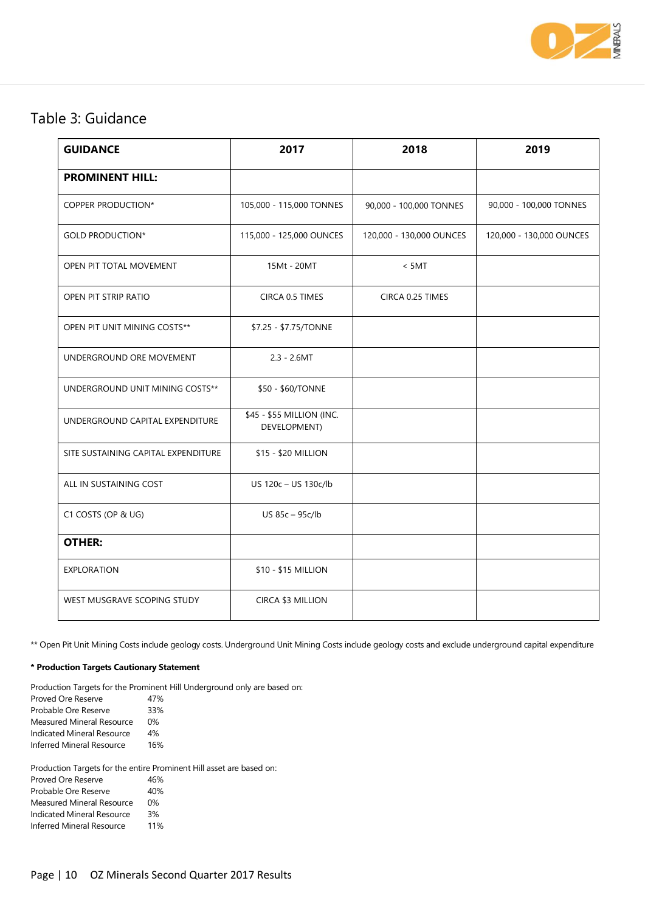

# Table 3: Guidance

| <b>GUIDANCE</b>                     | 2017                                      | 2018                     | 2019                     |
|-------------------------------------|-------------------------------------------|--------------------------|--------------------------|
| <b>PROMINENT HILL:</b>              |                                           |                          |                          |
| <b>COPPER PRODUCTION*</b>           | 105,000 - 115,000 TONNES                  | 90,000 - 100,000 TONNES  | 90,000 - 100,000 TONNES  |
| <b>GOLD PRODUCTION*</b>             | 115,000 - 125,000 OUNCES                  | 120,000 - 130,000 OUNCES | 120,000 - 130,000 OUNCES |
| OPEN PIT TOTAL MOVEMENT             | 15Mt - 20MT                               | < 5MT                    |                          |
| OPEN PIT STRIP RATIO                | CIRCA 0.5 TIMES                           | CIRCA 0.25 TIMES         |                          |
| OPEN PIT UNIT MINING COSTS**        | \$7.25 - \$7.75/TONNE                     |                          |                          |
| UNDERGROUND ORE MOVEMENT            | $2.3 - 2.6MT$                             |                          |                          |
| UNDERGROUND UNIT MINING COSTS**     | \$50 - \$60/TONNE                         |                          |                          |
| UNDERGROUND CAPITAL EXPENDITURE     | \$45 - \$55 MILLION (INC.<br>DEVELOPMENT) |                          |                          |
| SITE SUSTAINING CAPITAL EXPENDITURE | \$15 - \$20 MILLION                       |                          |                          |
| ALL IN SUSTAINING COST              | US 120c - US 130c/lb                      |                          |                          |
| C1 COSTS (OP & UG)                  | US 85c - 95c/lb                           |                          |                          |
| <b>OTHER:</b>                       |                                           |                          |                          |
| <b>EXPLORATION</b>                  | \$10 - \$15 MILLION                       |                          |                          |
| WEST MUSGRAVE SCOPING STUDY         | CIRCA \$3 MILLION                         |                          |                          |

\*\* Open Pit Unit Mining Costs include geology costs. Underground Unit Mining Costs include geology costs and exclude underground capital expenditure

#### **\* Production Targets Cautionary Statement**

Production Targets for the Prominent Hill Underground only are based on:

Proved Ore Reserve 47% Probable Ore Reserve 33%<br>Measured Mineral Resource 0% Measured Mineral Resource Indicated Mineral Resource 4% Inferred Mineral Resource 16%

Production Targets for the entire Prominent Hill asset are based on:

| Proved Ore Reserve               | 46%   |
|----------------------------------|-------|
| Probable Ore Reserve             | 40%   |
| <b>Measured Mineral Resource</b> | $0\%$ |
| Indicated Mineral Resource       | 3%    |
| <b>Inferred Mineral Resource</b> | 11%   |
|                                  |       |